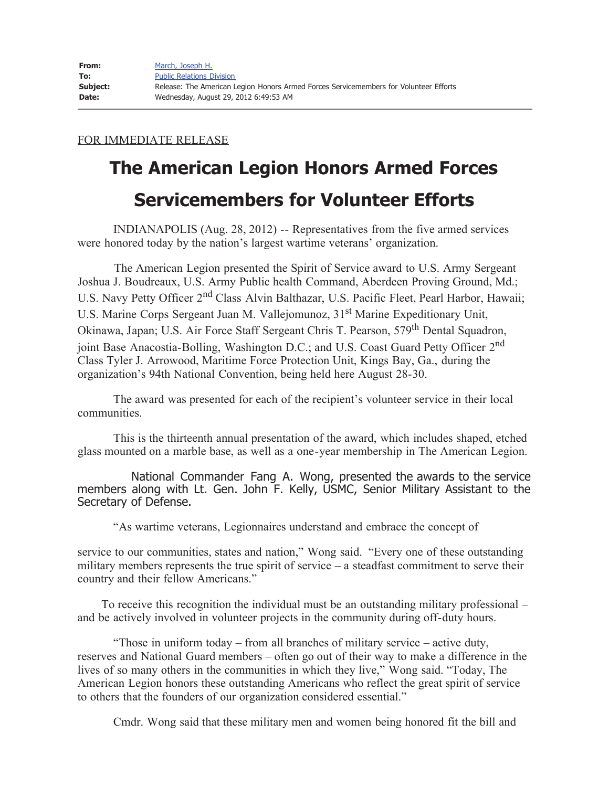## FOR IMMEDIATE RELEASE

## **The American Legion Honors Armed Forces Servicemembers for Volunteer Efforts**

 INDIANAPOLIS (Aug. 28, 2012) -- Representatives from the five armed services were honored today by the nation's largest wartime veterans' organization.

The American Legion presented the Spirit of Service award to U.S. Army Sergeant Joshua J. Boudreaux, U.S. Army Public health Command, Aberdeen Proving Ground, Md.; U.S. Navy Petty Officer 2<sup>nd</sup> Class Alvin Balthazar, U.S. Pacific Fleet, Pearl Harbor, Hawaii; U.S. Marine Corps Sergeant Juan M. Vallejomunoz, 31<sup>st</sup> Marine Expeditionary Unit, Okinawa, Japan; U.S. Air Force Staff Sergeant Chris T. Pearson, 579th Dental Squadron, joint Base Anacostia-Bolling, Washington D.C.; and U.S. Coast Guard Petty Officer 2<sup>nd</sup> Class Tyler J. Arrowood, Maritime Force Protection Unit, Kings Bay, Ga., during the organization's 94th National Convention, being held here August 28-30.

 The award was presented for each of the recipient's volunteer service in their local communities.

 This is the thirteenth annual presentation of the award, which includes shaped, etched glass mounted on a marble base, as well as a one-year membership in The American Legion.

 National Commander Fang A. Wong, presented the awards to the service members along with Lt. Gen. John F. Kelly, USMC, Senior Military Assistant to the Secretary of Defense.

"As wartime veterans, Legionnaires understand and embrace the concept of

service to our communities, states and nation," Wong said. "Every one of these outstanding military members represents the true spirit of service – a steadfast commitment to serve their country and their fellow Americans."

 To receive this recognition the individual must be an outstanding military professional – and be actively involved in volunteer projects in the community during off-duty hours.

 "Those in uniform today – from all branches of military service – active duty, reserves and National Guard members – often go out of their way to make a difference in the lives of so many others in the communities in which they live," Wong said. "Today, The American Legion honors these outstanding Americans who reflect the great spirit of service to others that the founders of our organization considered essential."

Cmdr. Wong said that these military men and women being honored fit the bill and